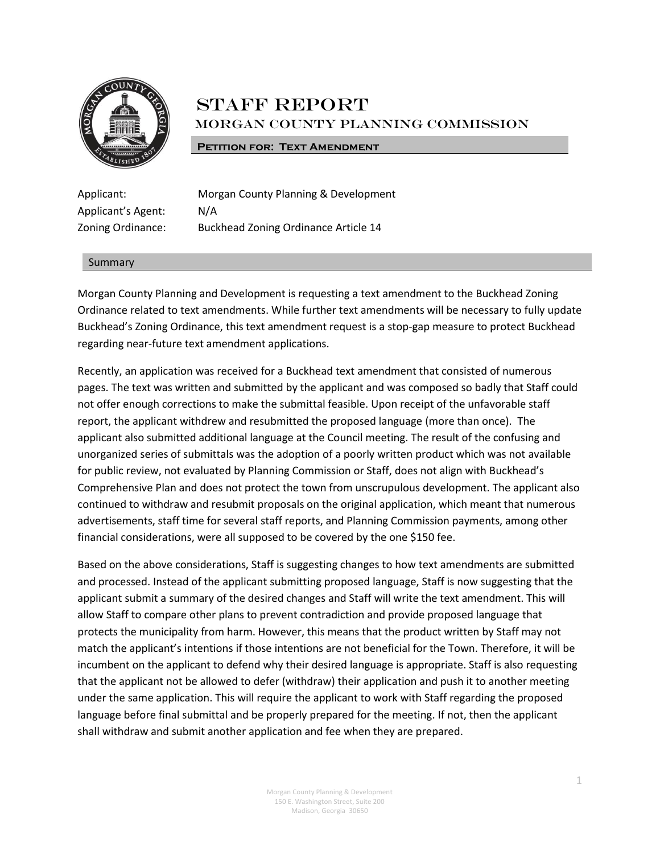

# **STAFF REPORT** Morgan County Planning Commission

#### **PETITION FOR: TEXT AMENDMENT**

Applicant's Agent: N/A

Applicant: Morgan County Planning & Development Zoning Ordinance: Buckhead Zoning Ordinance Article 14

#### Summary

Morgan County Planning and Development is requesting a text amendment to the Buckhead Zoning Ordinance related to text amendments. While further text amendments will be necessary to fully update Buckhead's Zoning Ordinance, this text amendment request is a stop-gap measure to protect Buckhead regarding near-future text amendment applications.

Recently, an application was received for a Buckhead text amendment that consisted of numerous pages. The text was written and submitted by the applicant and was composed so badly that Staff could not offer enough corrections to make the submittal feasible. Upon receipt of the unfavorable staff report, the applicant withdrew and resubmitted the proposed language (more than once). The applicant also submitted additional language at the Council meeting. The result of the confusing and unorganized series of submittals was the adoption of a poorly written product which was not available for public review, not evaluated by Planning Commission or Staff, does not align with Buckhead's Comprehensive Plan and does not protect the town from unscrupulous development. The applicant also continued to withdraw and resubmit proposals on the original application, which meant that numerous advertisements, staff time for several staff reports, and Planning Commission payments, among other financial considerations, were all supposed to be covered by the one \$150 fee.

Based on the above considerations, Staff is suggesting changes to how text amendments are submitted and processed. Instead of the applicant submitting proposed language, Staff is now suggesting that the applicant submit a summary of the desired changes and Staff will write the text amendment. This will allow Staff to compare other plans to prevent contradiction and provide proposed language that protects the municipality from harm. However, this means that the product written by Staff may not match the applicant's intentions if those intentions are not beneficial for the Town. Therefore, it will be incumbent on the applicant to defend why their desired language is appropriate. Staff is also requesting that the applicant not be allowed to defer (withdraw) their application and push it to another meeting under the same application. This will require the applicant to work with Staff regarding the proposed language before final submittal and be properly prepared for the meeting. If not, then the applicant shall withdraw and submit another application and fee when they are prepared.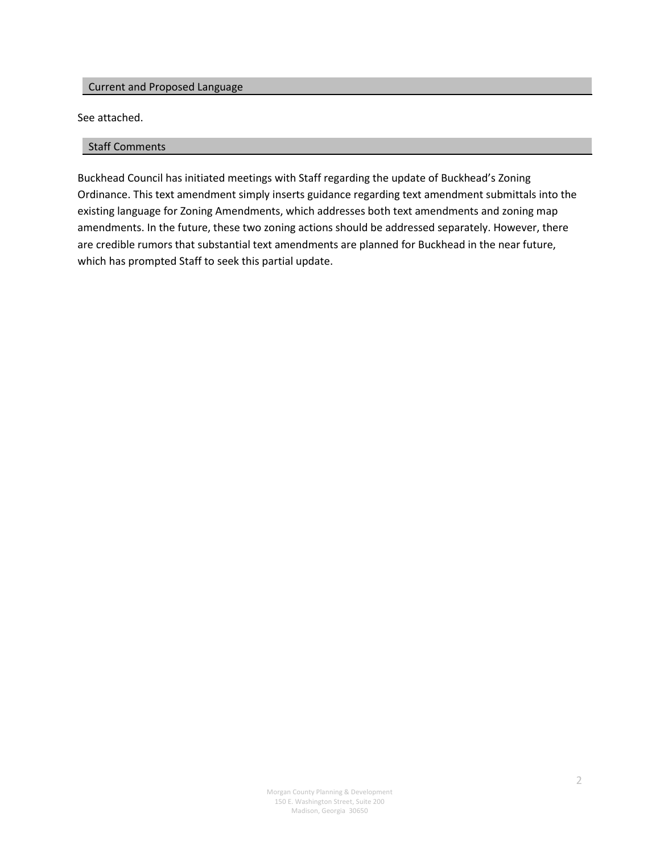# Current and Proposed Language

See attached.

#### Staff Comments

Buckhead Council has initiated meetings with Staff regarding the update of Buckhead's Zoning Ordinance. This text amendment simply inserts guidance regarding text amendment submittals into the existing language for Zoning Amendments, which addresses both text amendments and zoning map amendments. In the future, these two zoning actions should be addressed separately. However, there are credible rumors that substantial text amendments are planned for Buckhead in the near future, which has prompted Staff to seek this partial update.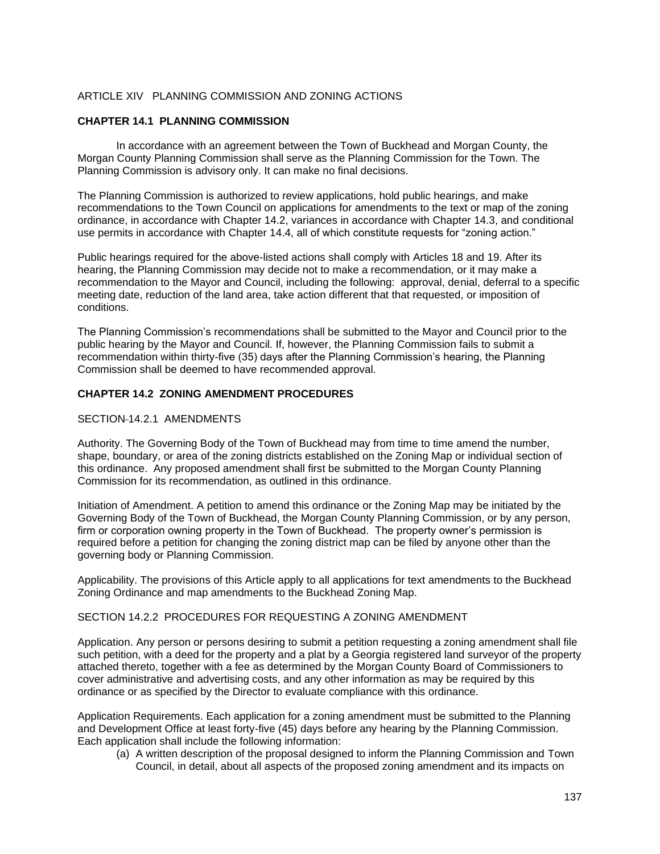#### ARTICLE XIV PLANNING COMMISSION AND ZONING ACTIONS

# **CHAPTER 14.1 PLANNING COMMISSION**

In accordance with an agreement between the Town of Buckhead and Morgan County, the Morgan County Planning Commission shall serve as the Planning Commission for the Town. The Planning Commission is advisory only. It can make no final decisions.

The Planning Commission is authorized to review applications, hold public hearings, and make recommendations to the Town Council on applications for amendments to the text or map of the zoning ordinance, in accordance with Chapter 14.2, variances in accordance with Chapter 14.3, and conditional use permits in accordance with Chapter 14.4, all of which constitute requests for "zoning action."

Public hearings required for the above-listed actions shall comply with Articles 18 and 19. After its hearing, the Planning Commission may decide not to make a recommendation, or it may make a recommendation to the Mayor and Council, including the following: approval, denial, deferral to a specific meeting date, reduction of the land area, take action different that that requested, or imposition of conditions.

The Planning Commission's recommendations shall be submitted to the Mayor and Council prior to the public hearing by the Mayor and Council. If, however, the Planning Commission fails to submit a recommendation within thirty-five (35) days after the Planning Commission's hearing, the Planning Commission shall be deemed to have recommended approval.

# **CHAPTER 14.2 ZONING AMENDMENT PROCEDURES**

#### SECTION 14.2.1 AMENDMENTS

Authority. The Governing Body of the Town of Buckhead may from time to time amend the number, shape, boundary, or area of the zoning districts established on the Zoning Map or individual section of this ordinance. Any proposed amendment shall first be submitted to the Morgan County Planning Commission for its recommendation, as outlined in this ordinance.

Initiation of Amendment. A petition to amend this ordinance or the Zoning Map may be initiated by the Governing Body of the Town of Buckhead, the Morgan County Planning Commission, or by any person, firm or corporation owning property in the Town of Buckhead. The property owner's permission is required before a petition for changing the zoning district map can be filed by anyone other than the governing body or Planning Commission.

Applicability. The provisions of this Article apply to all applications for text amendments to the Buckhead Zoning Ordinance and map amendments to the Buckhead Zoning Map.

#### SECTION 14.2.2 PROCEDURES FOR REQUESTING A ZONING AMENDMENT

Application. Any person or persons desiring to submit a petition requesting a zoning amendment shall file such petition, with a deed for the property and a plat by a Georgia registered land surveyor of the property attached thereto, together with a fee as determined by the Morgan County Board of Commissioners to cover administrative and advertising costs, and any other information as may be required by this ordinance or as specified by the Director to evaluate compliance with this ordinance.

Application Requirements. Each application for a zoning amendment must be submitted to the Planning and Development Office at least forty-five (45) days before any hearing by the Planning Commission. Each application shall include the following information:

(a) A written description of the proposal designed to inform the Planning Commission and Town Council, in detail, about all aspects of the proposed zoning amendment and its impacts on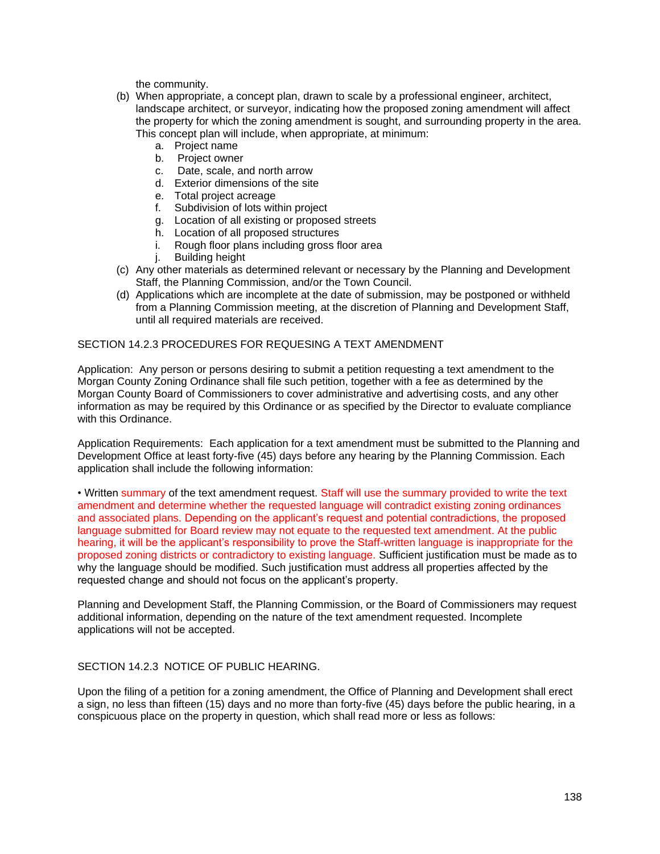the community.

- (b) When appropriate, a concept plan, drawn to scale by a professional engineer, architect, landscape architect, or surveyor, indicating how the proposed zoning amendment will affect the property for which the zoning amendment is sought, and surrounding property in the area. This concept plan will include, when appropriate, at minimum:
	- a. Project name
	- b. Project owner
	- c. Date, scale, and north arrow
	- d. Exterior dimensions of the site
	- e. Total project acreage
	- f. Subdivision of lots within project
	- g. Location of all existing or proposed streets
	- h. Location of all proposed structures
	- i. Rough floor plans including gross floor area
	- j. Building height
- (c) Any other materials as determined relevant or necessary by the Planning and Development Staff, the Planning Commission, and/or the Town Council.
- (d) Applications which are incomplete at the date of submission, may be postponed or withheld from a Planning Commission meeting, at the discretion of Planning and Development Staff, until all required materials are received.

# SECTION 14.2.3 PROCEDURES FOR REQUESING A TEXT AMENDMENT

Application: Any person or persons desiring to submit a petition requesting a text amendment to the Morgan County Zoning Ordinance shall file such petition, together with a fee as determined by the Morgan County Board of Commissioners to cover administrative and advertising costs, and any other information as may be required by this Ordinance or as specified by the Director to evaluate compliance with this Ordinance.

Application Requirements: Each application for a text amendment must be submitted to the Planning and Development Office at least forty-five (45) days before any hearing by the Planning Commission. Each application shall include the following information:

• Written summary of the text amendment request. Staff will use the summary provided to write the text amendment and determine whether the requested language will contradict existing zoning ordinances and associated plans. Depending on the applicant's request and potential contradictions, the proposed language submitted for Board review may not equate to the requested text amendment. At the public hearing, it will be the applicant's responsibility to prove the Staff-written language is inappropriate for the proposed zoning districts or contradictory to existing language. Sufficient justification must be made as to why the language should be modified. Such justification must address all properties affected by the requested change and should not focus on the applicant's property.

Planning and Development Staff, the Planning Commission, or the Board of Commissioners may request additional information, depending on the nature of the text amendment requested. Incomplete applications will not be accepted.

# SECTION 14.2.3 NOTICE OF PUBLIC HEARING.

Upon the filing of a petition for a zoning amendment, the Office of Planning and Development shall erect a sign, no less than fifteen (15) days and no more than forty-five (45) days before the public hearing, in a conspicuous place on the property in question, which shall read more or less as follows: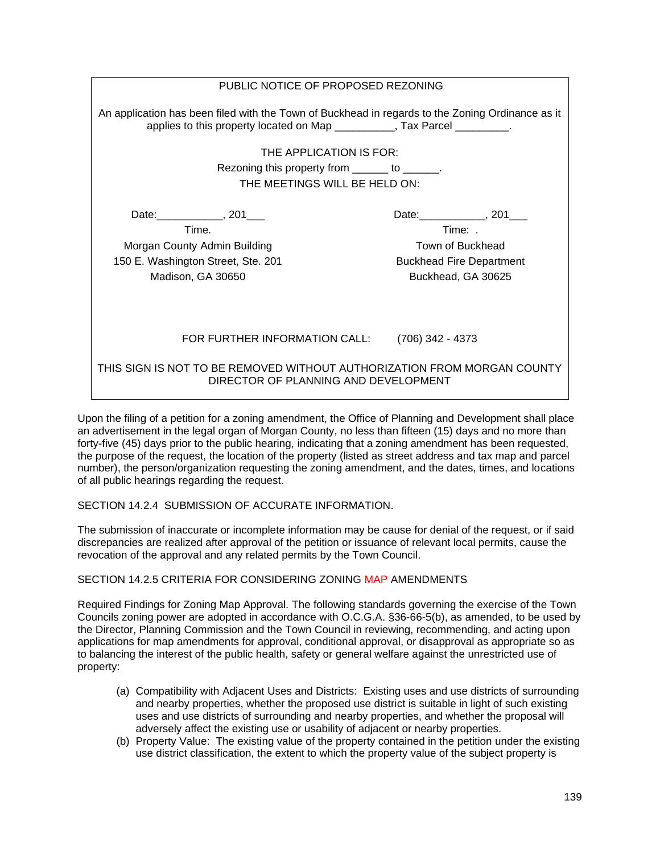| PUBLIC NOTICE OF PROPOSED REZONING                                                                                                                                            |                                 |
|-------------------------------------------------------------------------------------------------------------------------------------------------------------------------------|---------------------------------|
| An application has been filed with the Town of Buckhead in regards to the Zoning Ordinance as it<br>applies to this property located on Map __________, Tax Parcel _________. |                                 |
| THE APPLICATION IS FOR:                                                                                                                                                       |                                 |
| Rezoning this property from _______ to ______.                                                                                                                                |                                 |
| THE MEETINGS WILL BE HELD ON:                                                                                                                                                 |                                 |
|                                                                                                                                                                               |                                 |
| Date: _____________, 201____                                                                                                                                                  | Date: 201                       |
| Time.                                                                                                                                                                         | Time: .                         |
| Morgan County Admin Building                                                                                                                                                  | Town of Buckhead                |
| 150 E. Washington Street, Ste. 201                                                                                                                                            | <b>Buckhead Fire Department</b> |
| Madison, GA 30650                                                                                                                                                             | Buckhead, GA 30625              |
|                                                                                                                                                                               |                                 |
|                                                                                                                                                                               |                                 |
|                                                                                                                                                                               |                                 |
| FOR FURTHER INFORMATION CALL:                                                                                                                                                 | (706) 342 - 4373                |
| THIS SIGN IS NOT TO BE REMOVED WITHOUT AUTHORIZATION FROM MORGAN COUNTY<br>DIRECTOR OF PLANNING AND DEVELOPMENT                                                               |                                 |

Upon the filing of a petition for a zoning amendment, the Office of Planning and Development shall place an advertisement in the legal organ of Morgan County, no less than fifteen (15) days and no more than forty-five (45) days prior to the public hearing, indicating that a zoning amendment has been requested, the purpose of the request, the location of the property (listed as street address and tax map and parcel number), the person/organization requesting the zoning amendment, and the dates, times, and locations of all public hearings regarding the request.

# SECTION 14.2.4 SUBMISSION OF ACCURATE INFORMATION.

The submission of inaccurate or incomplete information may be cause for denial of the request, or if said discrepancies are realized after approval of the petition or issuance of relevant local permits, cause the revocation of the approval and any related permits by the Town Council.

#### SECTION 14.2.5 CRITERIA FOR CONSIDERING ZONING MAP AMENDMENTS

Required Findings for Zoning Map Approval. The following standards governing the exercise of the Town Councils zoning power are adopted in accordance with O.C.G.A. §36-66-5(b), as amended, to be used by the Director, Planning Commission and the Town Council in reviewing, recommending, and acting upon applications for map amendments for approval, conditional approval, or disapproval as appropriate so as to balancing the interest of the public health, safety or general welfare against the unrestricted use of property:

- (a) Compatibility with Adjacent Uses and Districts: Existing uses and use districts of surrounding and nearby properties, whether the proposed use district is suitable in light of such existing uses and use districts of surrounding and nearby properties, and whether the proposal will adversely affect the existing use or usability of adjacent or nearby properties.
- (b) Property Value: The existing value of the property contained in the petition under the existing use district classification, the extent to which the property value of the subject property is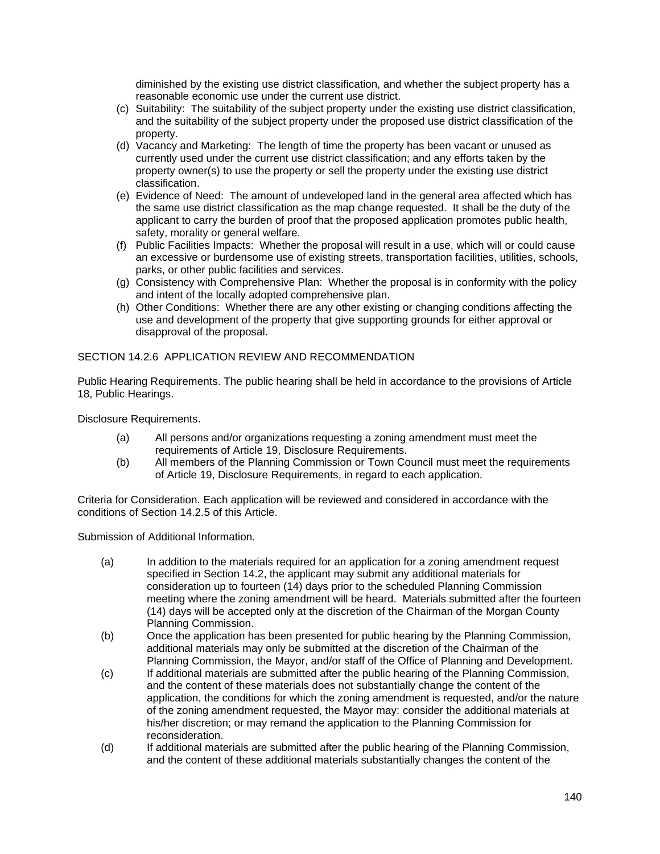diminished by the existing use district classification, and whether the subject property has a reasonable economic use under the current use district.

- (c) Suitability: The suitability of the subject property under the existing use district classification, and the suitability of the subject property under the proposed use district classification of the property.
- (d) Vacancy and Marketing: The length of time the property has been vacant or unused as currently used under the current use district classification; and any efforts taken by the property owner(s) to use the property or sell the property under the existing use district classification.
- (e) Evidence of Need: The amount of undeveloped land in the general area affected which has the same use district classification as the map change requested. It shall be the duty of the applicant to carry the burden of proof that the proposed application promotes public health, safety, morality or general welfare.
- (f) Public Facilities Impacts: Whether the proposal will result in a use, which will or could cause an excessive or burdensome use of existing streets, transportation facilities, utilities, schools, parks, or other public facilities and services.
- (g) Consistency with Comprehensive Plan: Whether the proposal is in conformity with the policy and intent of the locally adopted comprehensive plan.
- (h) Other Conditions: Whether there are any other existing or changing conditions affecting the use and development of the property that give supporting grounds for either approval or disapproval of the proposal.

#### SECTION 14.2.6 APPLICATION REVIEW AND RECOMMENDATION

Public Hearing Requirements. The public hearing shall be held in accordance to the provisions of Article 18, Public Hearings.

Disclosure Requirements.

- (a) All persons and/or organizations requesting a zoning amendment must meet the requirements of Article 19, Disclosure Requirements.
- (b) All members of the Planning Commission or Town Council must meet the requirements of Article 19, Disclosure Requirements, in regard to each application.

Criteria for Consideration. Each application will be reviewed and considered in accordance with the conditions of Section 14.2.5 of this Article.

Submission of Additional Information.

- (a) In addition to the materials required for an application for a zoning amendment request specified in Section 14.2, the applicant may submit any additional materials for consideration up to fourteen (14) days prior to the scheduled Planning Commission meeting where the zoning amendment will be heard. Materials submitted after the fourteen (14) days will be accepted only at the discretion of the Chairman of the Morgan County Planning Commission.
- (b) Once the application has been presented for public hearing by the Planning Commission, additional materials may only be submitted at the discretion of the Chairman of the Planning Commission, the Mayor, and/or staff of the Office of Planning and Development.
- (c) If additional materials are submitted after the public hearing of the Planning Commission, and the content of these materials does not substantially change the content of the application, the conditions for which the zoning amendment is requested, and/or the nature of the zoning amendment requested, the Mayor may: consider the additional materials at his/her discretion; or may remand the application to the Planning Commission for reconsideration.
- (d) If additional materials are submitted after the public hearing of the Planning Commission, and the content of these additional materials substantially changes the content of the